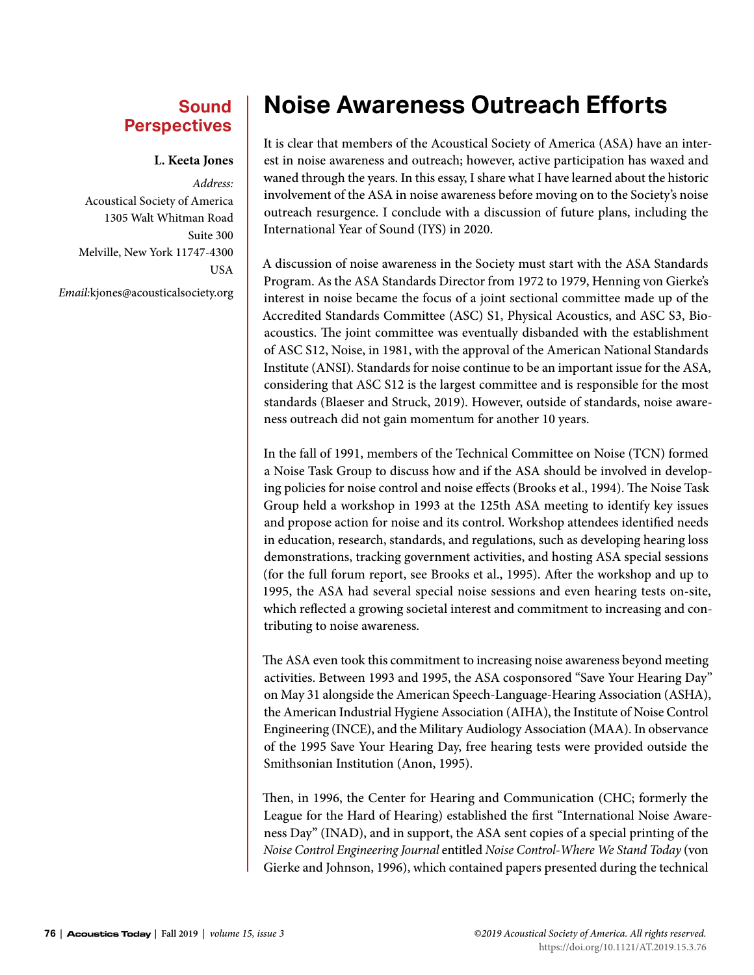## **Sound Perspectives**

## **L. Keeta Jones**

*Address:* Acoustical Society of America 1305 Walt Whitman Road Suite 300 Melville, New York 11747-4300 USA *Email:*kjones@acousticalsociety.org

## **Noise Awareness Outreach Efforts**

It is clear that members of the Acoustical Society of America (ASA) have an interest in noise awareness and outreach; however, active participation has waxed and waned through the years. In this essay, I share what I have learned about the historic involvement of the ASA in noise awareness before moving on to the Society's noise outreach resurgence. I conclude with a discussion of future plans, including the International Year of Sound (IYS) in 2020.

A discussion of noise awareness in the Society must start with the ASA Standards Program. As the ASA Standards Director from 1972 to 1979, Henning von Gierke's interest in noise became the focus of a joint sectional committee made up of the Accredited Standards Committee (ASC) S1, Physical Acoustics, and ASC S3, Bioacoustics. The joint committee was eventually disbanded with the establishment of ASC S12, Noise, in 1981, with the approval of the American National Standards Institute (ANSI). Standards for noise continue to be an important issue for the ASA, considering that ASC S12 is the largest committee and is responsible for the most standards (Blaeser and Struck, 2019). However, outside of standards, noise awareness outreach did not gain momentum for another 10 years.

In the fall of 1991, members of the Technical Committee on Noise (TCN) formed a Noise Task Group to discuss how and if the ASA should be involved in developing policies for noise control and noise effects (Brooks et al., 1994). The Noise Task Group held a workshop in 1993 at the 125th ASA meeting to identify key issues and propose action for noise and its control. Workshop attendees identified needs in education, research, standards, and regulations, such as developing hearing loss demonstrations, tracking government activities, and hosting ASA special sessions (for the full forum report, see Brooks et al., 1995). After the workshop and up to 1995, the ASA had several special noise sessions and even hearing tests on-site, which reflected a growing societal interest and commitment to increasing and contributing to noise awareness.

The ASA even took this commitment to increasing noise awareness beyond meeting activities. Between 1993 and 1995, the ASA cosponsored "Save Your Hearing Day" on May 31 alongside the American Speech-Language-Hearing Association (ASHA), the American Industrial Hygiene Association (AIHA), the Institute of Noise Control Engineering (INCE), and the Military Audiology Association (MAA). In observance of the 1995 Save Your Hearing Day, free hearing tests were provided outside the Smithsonian Institution (Anon, 1995).

Then, in 1996, the Center for Hearing and Communication (CHC; formerly the League for the Hard of Hearing) established the first "International Noise Awareness Day" (INAD), and in support, the ASA sent copies of a special printing of the *Noise Control Engineering Journal* entitled *Noise Control-Where We Stand Today* (von Gierke and Johnson, 1996), which contained papers presented during the technical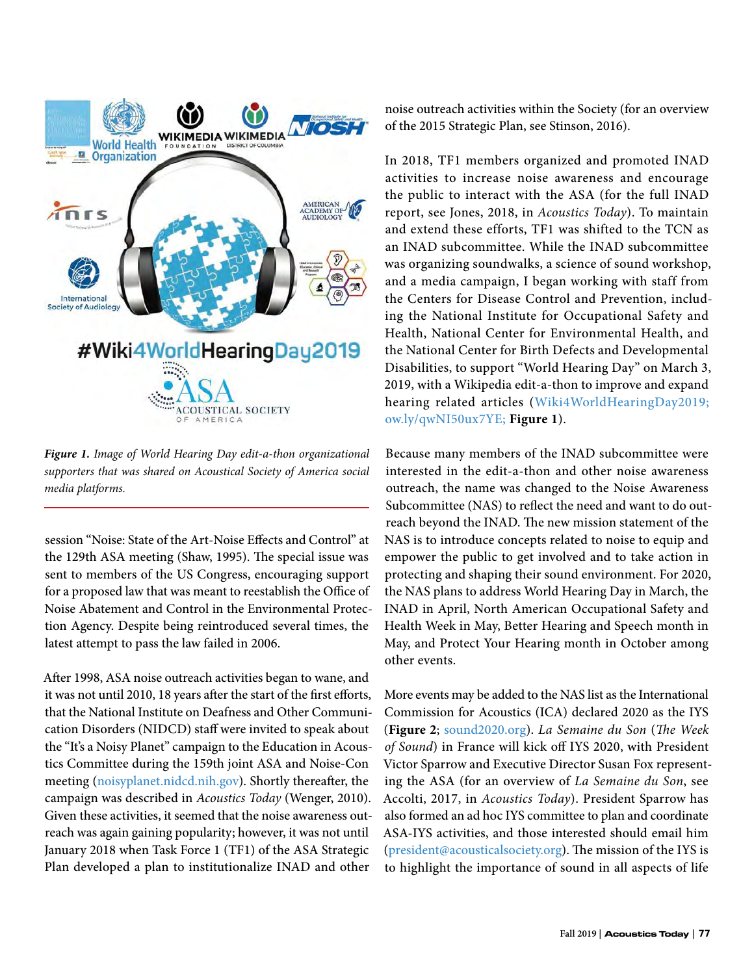

*Figure 1. Image of World Hearing Day edit-a-thon organizational supporters that was shared on Acoustical Society of America social media platforms.*

session "Noise: State of the Art-Noise Effects and Control" at the 129th ASA meeting (Shaw, 1995). The special issue was sent to members of the US Congress, encouraging support for a proposed law that was meant to reestablish the Office of Noise Abatement and Control in the Environmental Protection Agency. Despite being reintroduced several times, the latest attempt to pass the law failed in 2006.

After 1998, ASA noise outreach activities began to wane, and it was not until 2010, 18 years after the start of the first efforts, that the National Institute on Deafness and Other Communication Disorders (NIDCD) staff were invited to speak about the "It's a Noisy Planet" campaign to the Education in Acoustics Committee during the 159th joint ASA and Noise-Con meeting ([noisyplanet.nidcd.nih.gov\)](http://noisyplanet.nidcd.nih.gov). Shortly thereafter, the campaign was described in *Acoustics Today* (Wenger, 2010). Given these activities, it seemed that the noise awareness outreach was again gaining popularity; however, it was not until January 2018 when Task Force 1 (TF1) of the ASA Strategic Plan developed a plan to institutionalize INAD and other

noise outreach activities within the Society (for an overview of the 2015 Strategic Plan, see Stinson, 2016).

In 2018, TF1 members organized and promoted INAD activities to increase noise awareness and encourage the public to interact with the ASA (for the full INAD report, see Jones, 2018, in *Acoustics Today*). To maintain and extend these efforts, TF1 was shifted to the TCN as an INAD subcommittee. While the INAD subcommittee was organizing soundwalks, a science of sound workshop, and a media campaign, I began working with staff from the Centers for Disease Control and Prevention, including the National Institute for Occupational Safety and Health, National Center for Environmental Health, and the National Center for Birth Defects and Developmental Disabilities, to support "World Hearing Day" on March 3, 2019, with a Wikipedia edit-a-thon to improve and expand hearing related articles ([Wiki4WorldHearingDay2019;](https://meta.wikimedia.org/wiki/Wiki4WorldHearingDay2019) [ow.ly/qwNI50ux7YE;](http://ow.ly/qwNI50ux7YE) **Figure 1**).

Because many members of the INAD subcommittee were interested in the edit-a-thon and other noise awareness outreach, the name was changed to the Noise Awareness Subcommittee (NAS) to reflect the need and want to do outreach beyond the INAD. The new mission statement of the NAS is to introduce concepts related to noise to equip and empower the public to get involved and to take action in protecting and shaping their sound environment. For 2020, the NAS plans to address World Hearing Day in March, the INAD in April, North American Occupational Safety and Health Week in May, Better Hearing and Speech month in May, and Protect Your Hearing month in October among other events.

More events may be added to the NAS list as the International Commission for Acoustics (ICA) declared 2020 as the IYS (**Figure 2**; [sound2020.org](http://sound2020.org)). *La Semaine du Son* (*The Week of Sound*) in France will kick off IYS 2020, with President Victor Sparrow and Executive Director Susan Fox representing the ASA (for an overview of *La Semaine du Son*, see Accolti, 2017, in *Acoustics Today*). President Sparrow has also formed an ad hoc IYS committee to plan and coordinate ASA-IYS activities, and those interested should email him ([president@acousticalsociety.org](mailto:president%40acousticalsociety.org?subject=)). The mission of the IYS is to highlight the importance of sound in all aspects of life